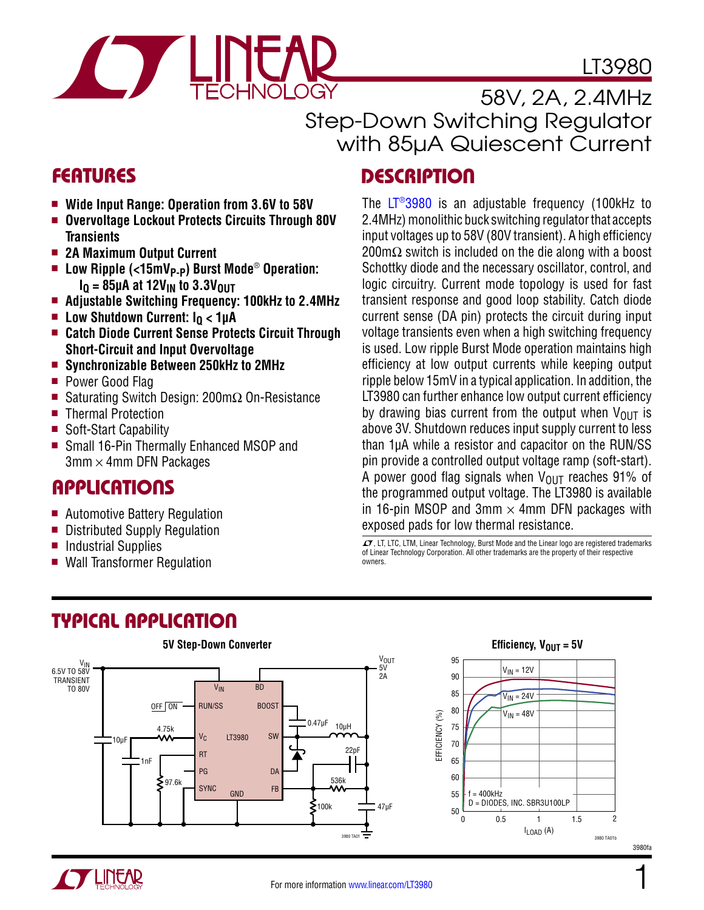# LT3980



58V, 2A, 2.4MHz Step-Down Switching Regulator with 85µA Quiescent Current

exposed pads for low thermal resistance.

 $I$ , LT, LTC, LTM, Linear Technology, Burst Mode and the Linear logo are registered trademarks of Linear Technology Corporation. All other trademarks are the property of their respective

The [LT®3980](http://www.linear.com/LT3980) is an adjustable frequency (100kHz to 2.4MHz) monolithic buck switching regulator that accepts input voltages up to 58V (80V transient). A high efficiency 200m $\Omega$  switch is included on the die along with a boost Schottky diode and the necessary oscillator, control, and logic circuitry. Current mode topology is used for fast transient response and good loop stability. Catch diode current sense (DA pin) protects the circuit during input voltage transients even when a high switching frequency is used. Low ripple Burst Mode operation maintains high efficiency at low output currents while keeping output ripple below 15mV in a typical application. In addition, the LT3980 can further enhance low output current efficiency by drawing bias current from the output when  $V_{\text{OUT}}$  is above 3V. Shutdown reduces input supply current to less than 1µA while a resistor and capacitor on the RUN/SS pin provide a controlled output voltage ramp (soft-start). A power good flag signals when  $V_{\text{OUT}}$  reaches 91% of the programmed output voltage. The LT3980 is available in 16-pin MSOP and 3mm  $\times$  4mm DFN packages with

### FEATURES DESCRIPTION

- Wide Input Range: Operation from 3.6V to 58V
- **Overvoltage Lockout Protects Circuits Through 80V Transients**
- **2A Maximum Output Current**
- Low Ripple (<15mV<sub>P-P</sub>) Burst Mode<sup>®</sup> Operation:  $I<sub>0</sub>$  = 85µA at 12V<sub>IN</sub> to 3.3V<sub>0UT</sub>
- **Adjustable Switching Frequency: 100kHz to 2.4MHz**
- Low Shutdown Current: I<sub>O</sub> < 1µA
- **Catch Diode Current Sense Protects Circuit Through Short-Circuit and Input Overvoltage**
- **Synchronizable Between 250kHz to 2MHz**
- Power Good Flag
- Saturating Switch Design: 200mΩ On-Resistance
- Thermal Protection
- Soft-Start Capability
- Small 16-Pin Thermally Enhanced MSOP and  $3$ mm  $\times$  4mm DFN Packages

### Applications

- Automotive Battery Regulation
- Distributed Supply Regulation
- Industrial Supplies
- Wall Transformer Regulation

### Typical Application



owners.

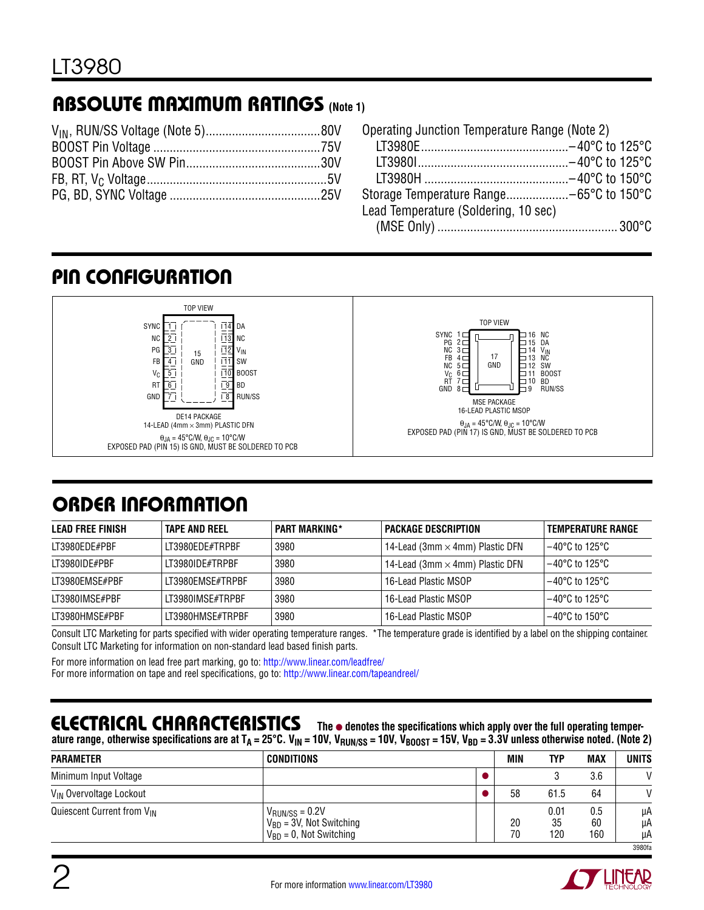# **ABSOLUTE MAXIMUM RATINGS (Note 1)**

| Operating Junction Temperature Range (Note 2) |  |
|-----------------------------------------------|--|
|                                               |  |
|                                               |  |
|                                               |  |
|                                               |  |
| Lead Temperature (Soldering, 10 sec)          |  |
|                                               |  |

# pIN CONFIGURATION



# order information

| <b>LEAD FREE FINISH</b> | <b>TAPE AND REEL</b> | <b>PART MARKING*</b> | <b>PACKAGE DESCRIPTION</b>             | TEMPERATURE RANGE |
|-------------------------|----------------------|----------------------|----------------------------------------|-------------------|
| LT3980EDE#PBF           | LT3980EDE#TRPBF      | 3980                 | 14-Lead (3mm $\times$ 4mm) Plastic DFN | 1−40°C to 125°C   |
| LT3980IDE#PBF           | IT3980IDF#TRPBF      | 3980                 | 14-Lead (3mm $\times$ 4mm) Plastic DFN | l –40°C to 125°C. |
| LT3980EMSE#PBF          | IT3980FMSF#TRPBF     | 3980                 | 16-Lead Plastic MSOP                   | 1−40°C to 125°C   |
| LT3980IMSE#PBF          | LT3980IMSE#TRPBF     | 3980                 | 16-Lead Plastic MSOP                   | 1−40°C to 125°C   |
| LT3980HMSE#PBF          | LT3980HMSE#TRPBF     | 3980                 | 16-Lead Plastic MSOP                   | ' –40°C to 150°C  |

Consult LTC Marketing for parts specified with wider operating temperature ranges. \*The temperature grade is identified by a label on the shipping container. Consult LTC Marketing for information on non-standard lead based finish parts.

For more information on lead free part marking, go to: http://www.linear.com/leadfree/ For more information on tape and reel specifications, go to: http://www.linear.com/tapeandreel/

### Electrical Characteristics

**The** ● **denotes the specifications which apply over the full operating temper**ature range, otherwise specifications are at  $T_A = 25^{\circ}$ C. V<sub>IN</sub> = 10V, V<sub>BUN/SS</sub> = 10V, V<sub>BOOST</sub> = 15V, V<sub>BD</sub> = 3.3V unless otherwise noted. (Note 2)

| $\sim$                                 | л. | <br>טטועוטוו<br>                                                                            | . |          |                   |                  |                |
|----------------------------------------|----|---------------------------------------------------------------------------------------------|---|----------|-------------------|------------------|----------------|
| <b>PARAMETER</b>                       |    | <b>CONDITIONS</b>                                                                           |   | MIN      | TYP               | <b>MAX</b>       | <b>UNITS</b>   |
| Minimum Input Voltage                  |    |                                                                                             |   |          |                   | 3.6              | $\mathsf{V}$   |
| V <sub>IN</sub> Overvoltage Lockout    |    |                                                                                             |   | 58       | 61.5              | 64               | $\mathcal{U}$  |
| Quiescent Current from V <sub>IN</sub> |    | $V_{\text{RUN/SS}} = 0.2V$<br>$V_{BD} = 3V$ , Not Switching<br>$V_{BD} = 0$ , Not Switching |   | 20<br>70 | 0.01<br>35<br>120 | 0.5<br>60<br>160 | μA<br>μA<br>μA |
|                                        |    |                                                                                             |   |          |                   |                  | 3980fa         |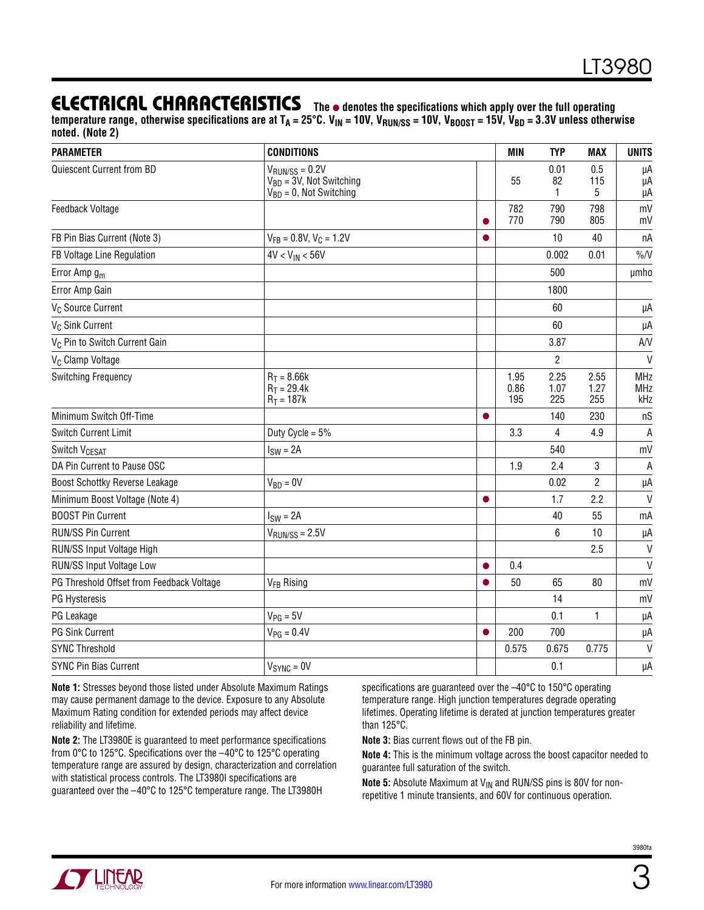### **ELECTRICAL CHARACTERISTICS** The  $\bullet$  denotes the specifications which apply over the full operating

temperature range, otherwise specifications are at  $T_A = 25^{\circ}$ C. V<sub>IN</sub> = 10V, V<sub>BUN/SS</sub> = 10V, V<sub>BOOST</sub> = 15V, V<sub>BD</sub> = 3.3V unless otherwise **noted. (Note 2)**

| <b>PARAMETER</b>                          | <b>CONDITIONS</b>                                                                           |           | <b>MIN</b>          | <b>TYP</b>          | <b>MAX</b>          | <b>UNITS</b>      |
|-------------------------------------------|---------------------------------------------------------------------------------------------|-----------|---------------------|---------------------|---------------------|-------------------|
| Quiescent Current from BD                 | $V_{\text{RUN/SS}} = 0.2V$<br>$V_{BD} = 3V$ , Not Switching<br>$V_{BD} = 0$ , Not Switching |           | 55                  | 0.01<br>82<br>1     | 0.5<br>115<br>5     | μA<br>μA<br>μA    |
| Feedback Voltage                          |                                                                                             |           | 782<br>770          | 790<br>790          | 798<br>805          | mV<br>mV          |
| FB Pin Bias Current (Note 3)              | $V_{FB} = 0.8 V$ , $V_C = 1.2 V$                                                            |           |                     | 10                  | 40                  | nA                |
| FB Voltage Line Regulation                | $4V < V_{IN} < 56V$                                                                         |           |                     | 0.002               | 0.01                | $\%N$             |
| Error Amp g <sub>m</sub>                  |                                                                                             |           |                     | 500                 |                     | umho              |
| Error Amp Gain                            |                                                                                             |           |                     | 1800                |                     |                   |
| V <sub>C</sub> Source Current             |                                                                                             |           |                     | 60                  |                     | μA                |
| V <sub>C</sub> Sink Current               |                                                                                             |           |                     | 60                  |                     | μA                |
| V <sub>C</sub> Pin to Switch Current Gain |                                                                                             |           |                     | 3.87                |                     | AVV               |
| V <sub>C</sub> Clamp Voltage              |                                                                                             |           |                     | $\overline{2}$      |                     | $\mathsf{V}$      |
| Switching Frequency                       | $R_T = 8.66k$<br>$R_T = 29.4k$<br>$R_T = 187k$                                              |           | 1.95<br>0.86<br>195 | 2.25<br>1.07<br>225 | 2.55<br>1.27<br>255 | MHz<br>MHz<br>kHz |
| Minimum Switch Off-Time                   |                                                                                             | $\bullet$ |                     | 140                 | 230                 | nS                |
| <b>Switch Current Limit</b>               | Duty Cycle = $5%$                                                                           |           | 3.3                 | 4                   | 4.9                 | A                 |
| Switch V <sub>CESAT</sub>                 | $ISW = 2A$                                                                                  |           |                     | 540                 |                     | mV                |
| DA Pin Current to Pause OSC               |                                                                                             |           | 1.9                 | 2.4                 | 3                   | $\overline{A}$    |
| Boost Schottky Reverse Leakage            | $V_{BD} = 0V$                                                                               |           |                     | 0.02                | $\overline{2}$      | μA                |
| Minimum Boost Voltage (Note 4)            |                                                                                             |           |                     | 1.7                 | 2.2                 | $\mathsf{V}$      |
| <b>BOOST Pin Current</b>                  | $ISW = 2A$                                                                                  |           |                     | 40                  | 55                  | mA                |
| RUN/SS Pin Current                        | $V_{RUN/SS} = 2.5V$                                                                         |           |                     | 6                   | 10                  | μA                |
| RUN/SS Input Voltage High                 |                                                                                             |           |                     |                     | 2.5                 | $\vee$            |
| RUN/SS Input Voltage Low                  |                                                                                             |           | 0.4                 |                     |                     | $\mathsf{V}$      |
| PG Threshold Offset from Feedback Voltage | V <sub>FB</sub> Rising                                                                      |           | 50                  | 65                  | 80                  | mV                |
| PG Hysteresis                             |                                                                                             |           |                     | 14                  |                     | mV                |
| PG Leakage                                | $V_{PG} = 5V$                                                                               |           |                     | 0.1                 | 1                   | μA                |
| <b>PG Sink Current</b>                    | $V_{PG} = 0.4V$                                                                             | $\bullet$ | 200                 | 700                 |                     | μA                |
| <b>SYNC Threshold</b>                     |                                                                                             |           | 0.575               | 0.675               | 0.775               | $\vee$            |
| SYNC Pin Bias Current                     | $V_{SYNC} = 0V$                                                                             |           |                     | 0.1                 |                     | μA                |

**Note 1:** Stresses beyond those listed under Absolute Maximum Ratings may cause permanent damage to the device. Exposure to any Absolute Maximum Rating condition for extended periods may affect device reliability and lifetime.

**Note 2:** The LT3980E is guaranteed to meet performance specifications from 0°C to 125°C. Specifications over the –40°C to 125°C operating temperature range are assured by design, characterization and correlation with statistical process controls. The LT3980I specifications are guaranteed over the –40°C to 125°C temperature range. The LT3980H

specifications are guaranteed over the –40°C to 150°C operating temperature range. High junction temperatures degrade operating lifetimes. Operating lifetime is derated at junction temperatures greater than 125°C.

**Note 3:** Bias current flows out of the FB pin.

**Note 4:** This is the minimum voltage across the boost capacitor needed to guarantee full saturation of the switch.

**Note 5:** Absolute Maximum at V<sub>IN</sub> and RUN/SS pins is 80V for nonrepetitive 1 minute transients, and 60V for continuous operation.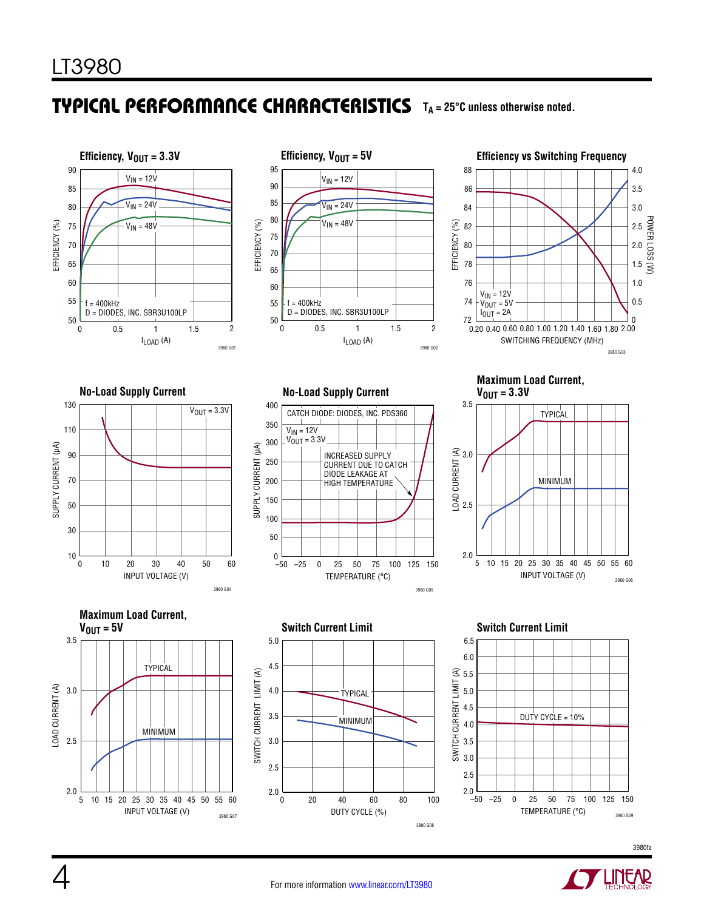### **TYPICAL PERFORMANCE CHARACTERISTICS** T<sub>A</sub> = 25°C unless otherwise noted.





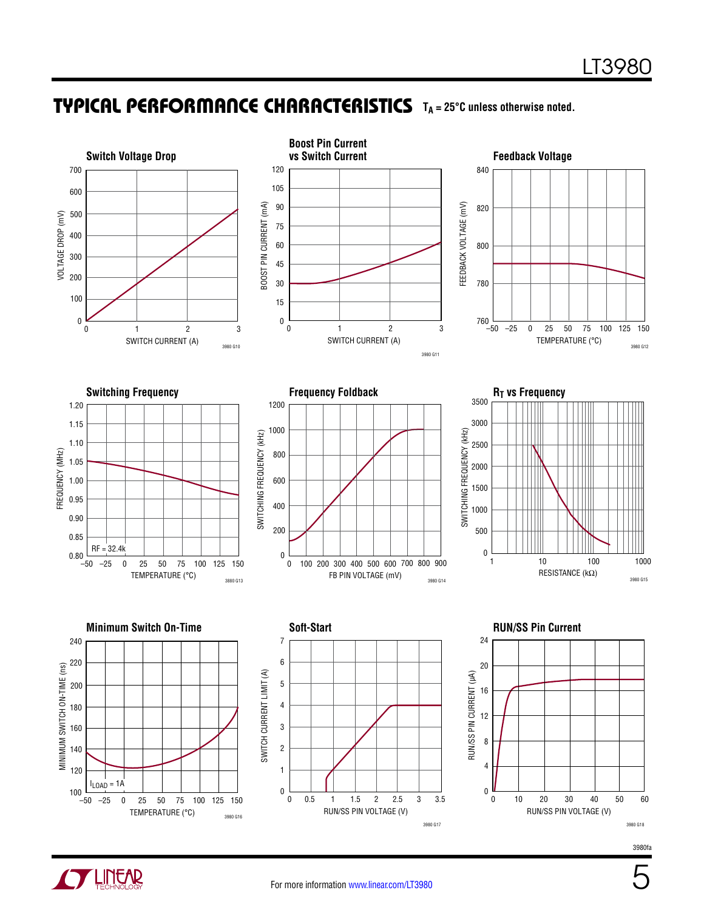### TYPICAL PERFORMANCE CHARACTERISTICS TA = 25°C unless otherwise noted.



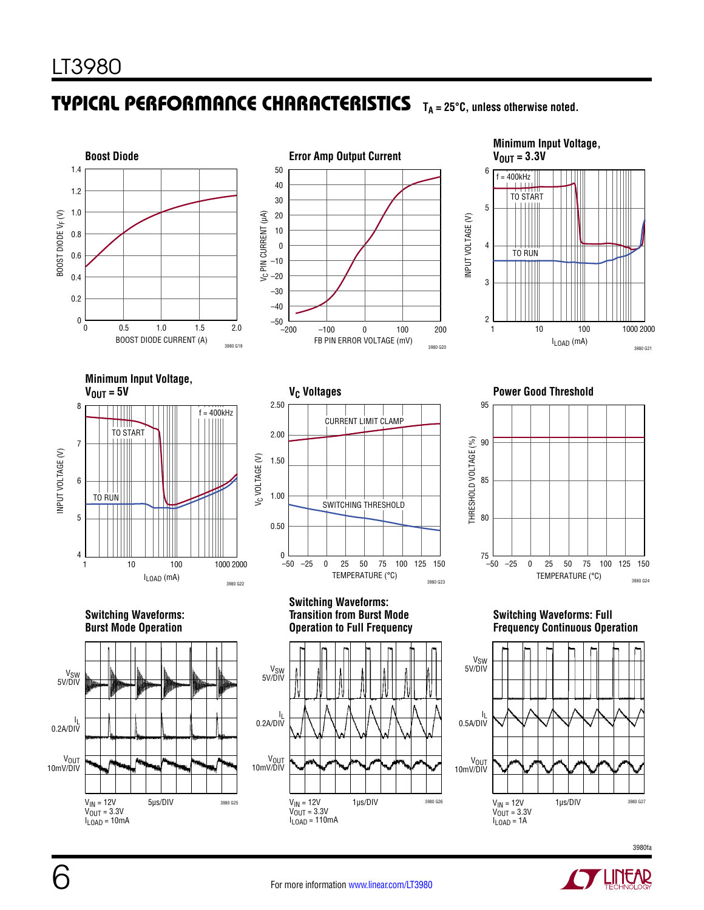## TYPICAL PERFORMANCE CHARACTERISTICS TA = 25°C, unless otherwise noted.





**Minimum Input Voltage,**   $V_{\text{OUT}} = 3.3V$ 6  $f = 400kHz$ TO START 5 INPUT VOLTAGE (V) INPUT VOLTAGE (V) 4 ШT TO RUN 3 2 1 10 100 1000 2000 ILOAD (mA) 3980 G21





**V<sub>C</sub>** Voltages **Power Good Threshold** 



#### **Switching Waveforms: Burst Mode Operation**



#### **Switching Waveforms: Transition from Burst Mode Operation to Full Frequency**



#### **Switching Waveforms: Full Frequency Continuous Operation**





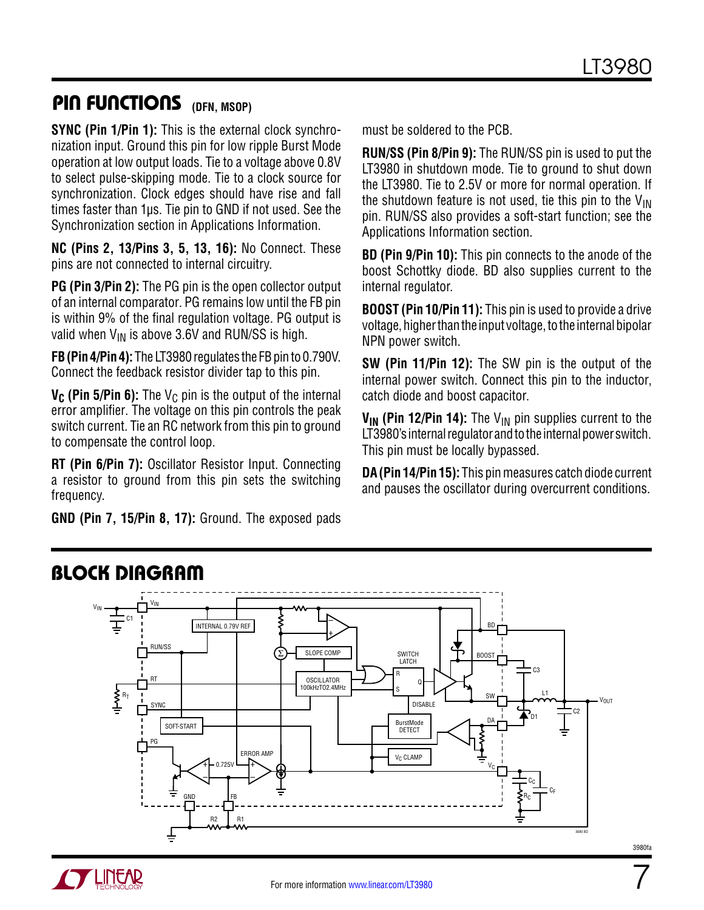7

3980fa

### PIN FUNCTIONS (DFN, MSOP)

**SYNC (Pin 1/Pin 1):** This is the external clock synchronization input. Ground this pin for low ripple Burst Mode operation at low output loads. Tie to a voltage above 0.8V to select pulse-skipping mode. Tie to a clock source for synchronization. Clock edges should have rise and fall times faster than 1µs. Tie pin to GND if not used. See the Synchronization section in Applications Information.

**NC (Pins 2, 13/Pins 3, 5, 13, 16):** No Connect. These pins are not connected to internal circuitry.

**PG (Pin 3/Pin 2):** The PG pin is the open collector output of an internal comparator. PG remains low until the FB pin is within 9% of the final regulation voltage. PG output is valid when  $V_{IN}$  is above 3.6V and RUN/SS is high.

**FB (Pin 4/Pin 4):** The LT3980 regulates the FB pin to 0.790V. Connect the feedback resistor divider tap to this pin.

**V<sub>C</sub>** (Pin 5/Pin 6): The V<sub>C</sub> pin is the output of the internal error amplifier. The voltage on this pin controls the peak switch current. Tie an RC network from this pin to ground to compensate the control loop.

**RT (Pin 6/Pin 7):** Oscillator Resistor Input. Connecting a resistor to ground from this pin sets the switching frequency.

**GND (Pin 7, 15/Pin 8, 17):** Ground. The exposed pads

must be soldered to the PCB.

**RUN/SS (Pin 8/Pin 9):** The RUN/SS pin is used to put the LT3980 in shutdown mode. Tie to ground to shut down the LT3980. Tie to 2.5V or more for normal operation. If the shutdown feature is not used, tie this pin to the  $V_{IN}$ pin. RUN/SS also provides a soft-start function; see the Applications Information section.

**BD (Pin 9/Pin 10):** This pin connects to the anode of the boost Schottky diode. BD also supplies current to the internal regulator.

**BOOST (Pin 10/Pin 11):** This pin is used to provide a drive voltage, higher than the input voltage, to the internal bipolar NPN power switch.

**SW (Pin 11/Pin 12):** The SW pin is the output of the internal power switch. Connect this pin to the inductor, catch diode and boost capacitor.

**V<sub>IN</sub>** (Pin 12/Pin 14): The V<sub>IN</sub> pin supplies current to the LT3980's internal regulator and to the internal power switch. This pin must be locally bypassed.

**DA (Pin 14/Pin 15):** This pin measures catch diode current and pauses the oscillator during overcurrent conditions.



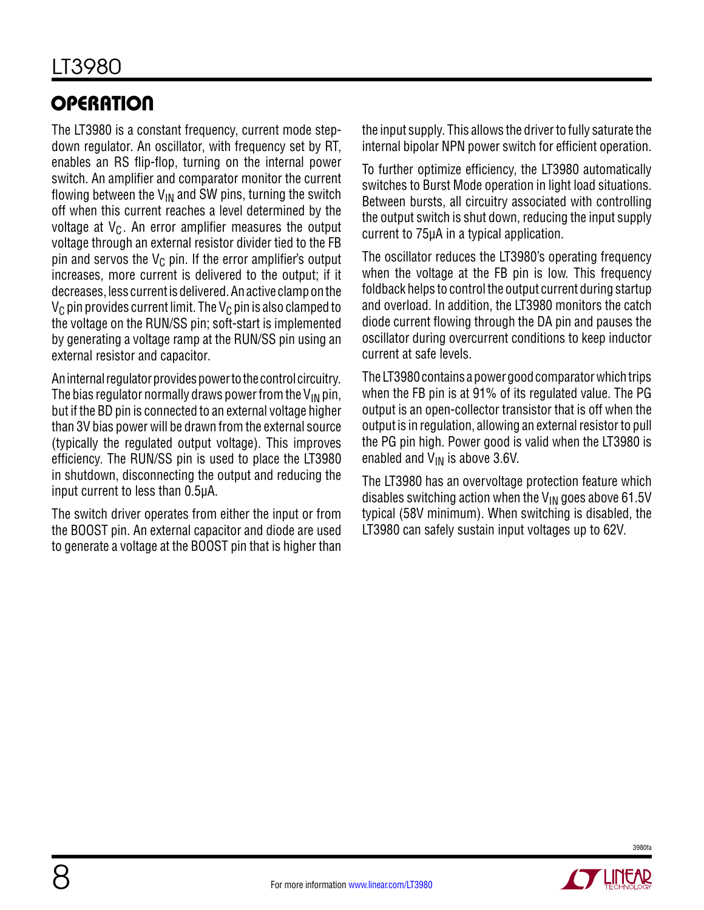# **OPERATION**

The LT3980 is a constant frequency, current mode stepdown regulator. An oscillator, with frequency set by RT, enables an RS flip-flop, turning on the internal power switch. An amplifier and comparator monitor the current flowing between the  $V_{IN}$  and SW pins, turning the switch off when this current reaches a level determined by the voltage at  $V_C$ . An error amplifier measures the output voltage through an external resistor divider tied to the FB pin and servos the  $V_C$  pin. If the error amplifier's output increases, more current is delivered to the output; if it decreases, less current is delivered. An active clamp on the  $V_C$  pin provides current limit. The  $V_C$  pin is also clamped to the voltage on the RUN/SS pin; soft-start is implemented by generating a voltage ramp at the RUN/SS pin using an external resistor and capacitor.

An internal regulator provides power to the control circuitry. The bias regulator normally draws power from the  $V_{IN}$  pin, but if the BD pin is connected to an external voltage higher than 3V bias power will be drawn from the external source (typically the regulated output voltage). This improves efficiency. The RUN/SS pin is used to place the LT3980 in shutdown, disconnecting the output and reducing the input current to less than 0.5µA.

The switch driver operates from either the input or from the BOOST pin. An external capacitor and diode are used to generate a voltage at the BOOST pin that is higher than the input supply. This allows the driver to fully saturate the internal bipolar NPN power switch for efficient operation.

To further optimize efficiency, the LT3980 automatically switches to Burst Mode operation in light load situations. Between bursts, all circuitry associated with controlling the output switch is shut down, reducing the input supply current to 75µA in a typical application.

The oscillator reduces the LT3980's operating frequency when the voltage at the FB pin is low. This frequency foldback helps to control the output current during startup and overload. In addition, the LT3980 monitors the catch diode current flowing through the DA pin and pauses the oscillator during overcurrent conditions to keep inductor current at safe levels.

The LT3980 contains a power good comparator which trips when the FB pin is at 91% of its regulated value. The PG output is an open-collector transistor that is off when the output is in regulation, allowing an external resistor to pull the PG pin high. Power good is valid when the LT3980 is enabled and  $V_{IN}$  is above 3.6V.

The LT3980 has an overvoltage protection feature which disables switching action when the  $V_{IN}$  goes above 61.5V typical (58V minimum). When switching is disabled, the LT3980 can safely sustain input voltages up to 62V.

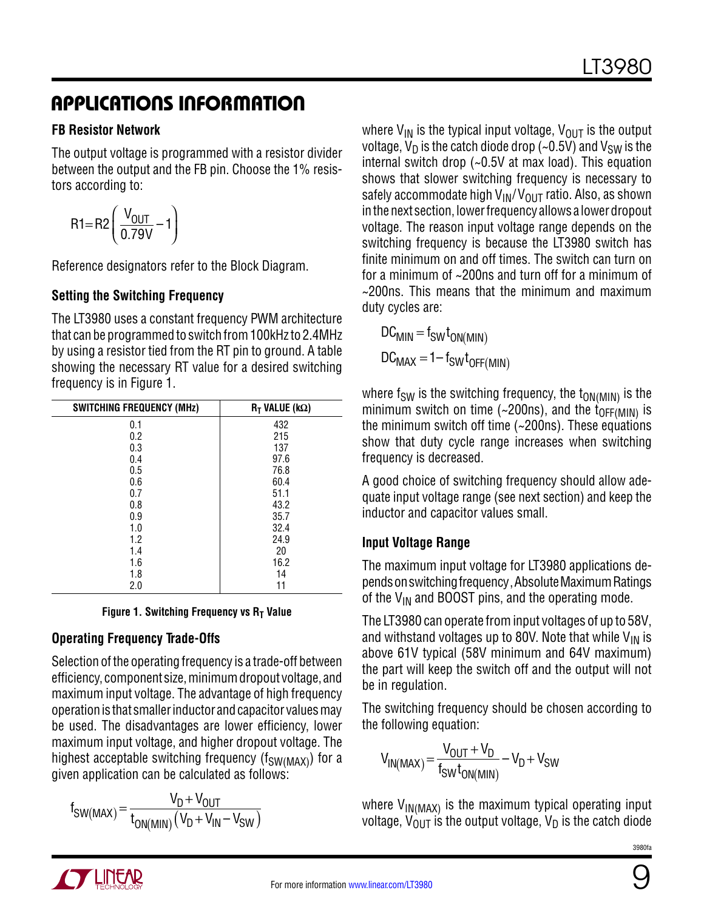#### **FB Resistor Network**

The output voltage is programmed with a resistor divider between the output and the FB pin. Choose the 1% resistors according to:

$$
R1 = R2 \left( \frac{V_{OUT}}{0.79V} - 1 \right)
$$

Reference designators refer to the Block Diagram.

### **Setting the Switching Frequency**

The LT3980 uses a constant frequency PWM architecture that can be programmed to switch from 100kHz to 2.4MHz by using a resistor tied from the RT pin to ground. A table showing the necessary RT value for a desired switching frequency is in Figure 1.

| <b>SWITCHING FREQUENCY (MHz)</b> | $R_T$ VALUE (k $\Omega$ ) |
|----------------------------------|---------------------------|
| 0.1                              | 432                       |
| 0.2                              | 215                       |
| 0.3                              | 137                       |
| 0.4                              | 97.6                      |
| 0.5                              | 76.8                      |
| 0.6                              | 60.4                      |
| 0.7                              | 51.1                      |
| 0.8                              | 43.2                      |
| 0.9                              | 35.7                      |
| 1.0                              | 32.4                      |
| 1.2                              | 24.9                      |
| 1.4                              | 20                        |
| 1.6                              | 16.2                      |
| 1.8                              | 14                        |
| 2.0                              | 11                        |

**Figure 1. Switching Frequency vs R<sub>T</sub> Value** 

### **Operating Frequency Trade-Offs**

Selection of the operating frequency is a trade-off between efficiency, component size, minimum dropout voltage, and maximum input voltage. The advantage of high frequency operation is that smaller inductor and capacitor values may be used. The disadvantages are lower efficiency, lower maximum input voltage, and higher dropout voltage. The highest acceptable switching frequency ( $f_{SW(MAX)}$ ) for a given application can be calculated as follows:

$$
f_{SW(MAX)} = \frac{V_D + V_{OUT}}{t_{ON(MIN)}(V_D + V_{IN} - V_{SW})}
$$

where  $V_{IN}$  is the typical input voltage,  $V_{OUT}$  is the output voltage,  $V_D$  is the catch diode drop (~0.5V) and  $V_{SW}$  is the internal switch drop (~0.5V at max load). This equation shows that slower switching frequency is necessary to safely accommodate high  $V_{\text{IN}}/V_{\text{OUT}}$  ratio. Also, as shown in the next section, lower frequency allows a lower dropout voltage. The reason input voltage range depends on the switching frequency is because the LT3980 switch has finite minimum on and off times. The switch can turn on for a minimum of ~200ns and turn off for a minimum of  $\sim$ 200ns. This means that the minimum and maximum duty cycles are:

 $DC_{MIN} = f_{SW}t_{ON(MIN)}$  $DC_{MAX} = 1 - f_{SW}t_{OFF(MIN)}$ 

where  $f_{SW}$  is the switching frequency, the  $t_{ON(MIN)}$  is the minimum switch on time (~200ns), and the  $t_{\text{OFF(MIN)}}$  is the minimum switch off time (~200ns). These equations show that duty cycle range increases when switching frequency is decreased.

A good choice of switching frequency should allow adequate input voltage range (see next section) and keep the inductor and capacitor values small.

### **Input Voltage Range**

The maximum input voltage for LT3980 applications depends on switching frequency, Absolute Maximum Ratings of the  $V_{IN}$  and BOOST pins, and the operating mode.

The LT3980 can operate from input voltages of up to 58V, and withstand voltages up to 80V. Note that while  $V_{IN}$  is above 61V typical (58V minimum and 64V maximum) the part will keep the switch off and the output will not be in regulation.

The switching frequency should be chosen according to the following equation:

$$
V_{IN(MAX)} = \frac{V_{OUT} + V_D}{f_{SW}t_{ON(MIN)}} - V_D + V_{SW}
$$

where  $V_{IN(MAX)}$  is the maximum typical operating input voltage,  $V_{\text{OUT}}$  is the output voltage,  $V_{\text{D}}$  is the catch diode



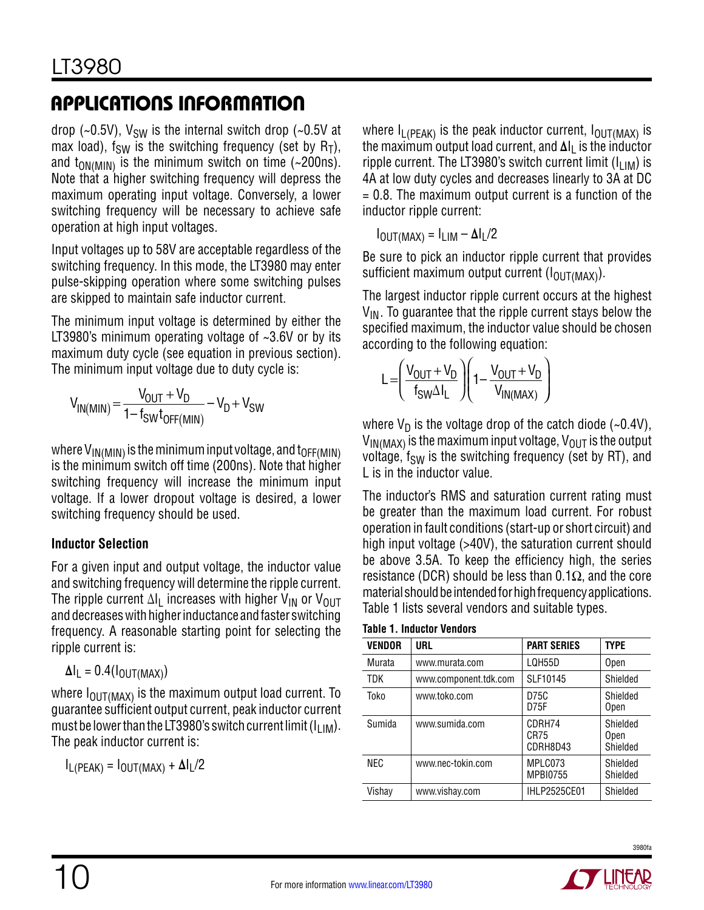drop (~0.5V),  $V_{SW}$  is the internal switch drop (~0.5V at max load),  $f_{SW}$  is the switching frequency (set by  $R_T$ ), and  $t_{ON(MIN)}$  is the minimum switch on time (~200ns). Note that a higher switching frequency will depress the maximum operating input voltage. Conversely, a lower switching frequency will be necessary to achieve safe operation at high input voltages.

Input voltages up to 58V are acceptable regardless of the switching frequency. In this mode, the LT3980 may enter pulse-skipping operation where some switching pulses are skipped to maintain safe inductor current.

The minimum input voltage is determined by either the LT3980's minimum operating voltage of ~3.6V or by its maximum duty cycle (see equation in previous section). The minimum input voltage due to duty cycle is:

$$
V_{IN(MIN)} = \frac{V_{OUT} + V_D}{1 - f_{SW}t_{OFF(MIN)}} - V_D + V_{SW}
$$

where  $V_{\text{IN(MIN)}}$  is the minimum input voltage, and  $t_{\text{OFF(MIN)}}$ is the minimum switch off time (200ns). Note that higher switching frequency will increase the minimum input voltage. If a lower dropout voltage is desired, a lower switching frequency should be used.

### **Inductor Selection**

For a given input and output voltage, the inductor value and switching frequency will determine the ripple current. The ripple current  $\Delta I_L$  increases with higher V<sub>IN</sub> or V<sub>OUT</sub> and decreases with higher inductance and faster switching frequency. A reasonable starting point for selecting the ripple current is:

$$
\Delta I_L = 0.4(I_{OUT(MAX)})
$$

where  $I_{\text{OUT}(MAX)}$  is the maximum output load current. To guarantee sufficient output current, peak inductor current must be lower than the LT3980's switch current limit (I<sub>LIM</sub>). The peak inductor current is:

IL(PEAK) = IOUT(MAX) + **Δ**IL/2

where  $I_{L(PEAK)}$  is the peak inductor current,  $I_{OUT(MAX)}$  is the maximum output load current, and Δl<sub>L</sub> is the inductor ripple current. The LT3980's switch current limit  $(I_{LIM})$  is 4A at low duty cycles and decreases linearly to 3A at DC  $= 0.8$ . The maximum output current is a function of the inductor ripple current:

IOUT(MAX) = ILIM – **Δ**IL/2

Be sure to pick an inductor ripple current that provides sufficient maximum output current  $(I_{\text{OUT}(MAX)})$ .

The largest inductor ripple current occurs at the highest  $V_{IN}$ . To guarantee that the ripple current stays below the specified maximum, the inductor value should be chosen according to the following equation:

$$
L = \left(\frac{V_{OUT} + V_D}{f_{SW}\Delta I_L}\right)\left(1 - \frac{V_{OUT} + V_D}{V_{IN(MAX)}}\right)
$$

where  $V_D$  is the voltage drop of the catch diode (~0.4V),  $V_{IN(MAX)}$  is the maximum input voltage,  $V_{OUT}$  is the output voltage,  $f_{SW}$  is the switching frequency (set by RT), and L is in the inductor value.

The inductor's RMS and saturation current rating must be greater than the maximum load current. For robust operation in fault conditions (start-up or short circuit) and high input voltage (>40V), the saturation current should be above 3.5A. To keep the efficiency high, the series resistance (DCR) should be less than 0.1 $\Omega$ , and the core material should be intended for high frequency applications. Table 1 lists several vendors and suitable types.

| <b>VENDOR</b> | URL                   | <b>PART SERIES</b>         | <b>TYPE</b>                         |
|---------------|-----------------------|----------------------------|-------------------------------------|
| Murata        | www.murata.com        | LQH55D                     | Open                                |
| <b>TDK</b>    | www.component.tdk.com | SLF10145                   | Shielded                            |
| Toko          | www.toko.com          | D75C<br>D75F               | Shielded<br>Open                    |
| Sumida        | www.sumida.com        | CDRH74<br>CR75<br>CDRH8D43 | Shielded<br><b>Open</b><br>Shielded |
| <b>NEC</b>    | www.nec-tokin.com     | MPLC073<br><b>MPBI0755</b> | Shielded<br>Shielded                |
| Vishay        | www.vishay.com        | <b>IHLP2525CE01</b>        | Shielded                            |

#### **Table 1. Inductor Vendors**

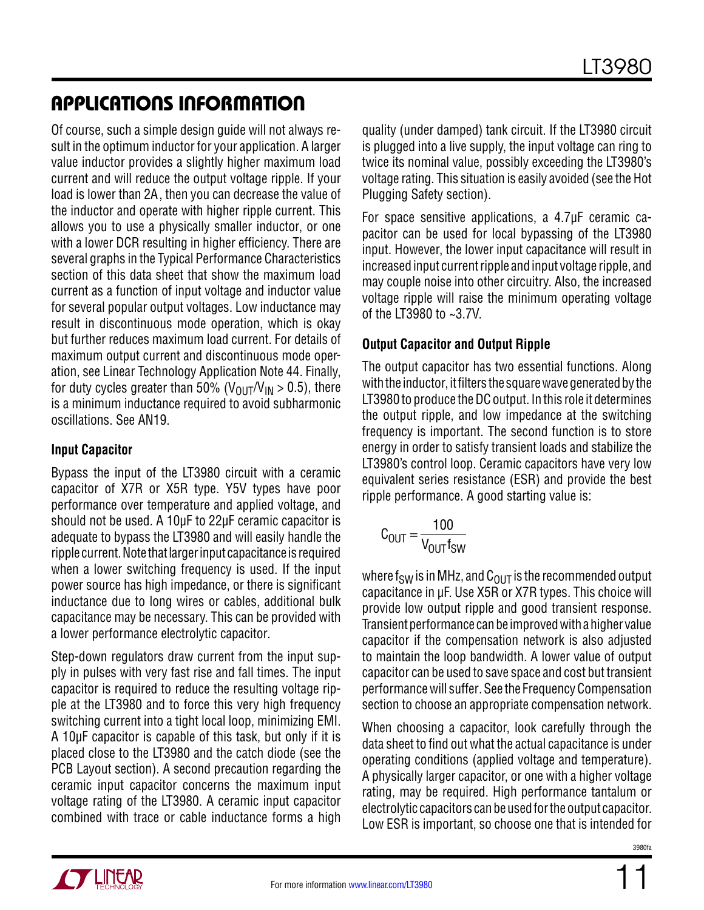Of course, such a simple design guide will not always result in the optimum inductor for your application. A larger value inductor provides a slightly higher maximum load current and will reduce the output voltage ripple. If your load is lower than 2A, then you can decrease the value of the inductor and operate with higher ripple current. This allows you to use a physically smaller inductor, or one with a lower DCR resulting in higher efficiency. There are several graphs in the Typical Performance Characteristics section of this data sheet that show the maximum load current as a function of input voltage and inductor value for several popular output voltages. Low inductance may result in discontinuous mode operation, which is okay but further reduces maximum load current. For details of maximum output current and discontinuous mode operation, see Linear Technology Application Note 44. Finally, for duty cycles greater than 50% ( $V_{\text{OUT}}/V_{\text{IN}} > 0.5$ ), there is a minimum inductance required to avoid subharmonic oscillations. See AN19.

#### **Input Capacitor**

Bypass the input of the LT3980 circuit with a ceramic capacitor of X7R or X5R type. Y5V types have poor performance over temperature and applied voltage, and should not be used. A 10µF to 22µF ceramic capacitor is adequate to bypass the LT3980 and will easily handle the ripple current. Note that larger input capacitance is required when a lower switching frequency is used. If the input power source has high impedance, or there is significant inductance due to long wires or cables, additional bulk capacitance may be necessary. This can be provided with a lower performance electrolytic capacitor.

Step-down regulators draw current from the input supply in pulses with very fast rise and fall times. The input capacitor is required to reduce the resulting voltage ripple at the LT3980 and to force this very high frequency switching current into a tight local loop, minimizing EMI. A 10µF capacitor is capable of this task, but only if it is placed close to the LT3980 and the catch diode (see the PCB Layout section). A second precaution regarding the ceramic input capacitor concerns the maximum input voltage rating of the LT3980. A ceramic input capacitor combined with trace or cable inductance forms a high quality (under damped) tank circuit. If the LT3980 circuit is plugged into a live supply, the input voltage can ring to twice its nominal value, possibly exceeding the LT3980's voltage rating. This situation is easily avoided (see the Hot Plugging Safety section).

For space sensitive applications, a 4.7µF ceramic capacitor can be used for local bypassing of the LT3980 input. However, the lower input capacitance will result in increased input current ripple and input voltage ripple, and may couple noise into other circuitry. Also, the increased voltage ripple will raise the minimum operating voltage of the LT3980 to ~3.7V.

#### **Output Capacitor and Output Ripple**

The output capacitor has two essential functions. Along with the inductor, it filters the square wave generated by the LT3980 to produce the DC output. In this role it determines the output ripple, and low impedance at the switching frequency is important. The second function is to store energy in order to satisfy transient loads and stabilize the LT3980's control loop. Ceramic capacitors have very low equivalent series resistance (ESR) and provide the best ripple performance. A good starting value is:

$$
C_{OUT} = \frac{100}{V_{OUT}f_{SW}}
$$

where f<sub>SW</sub> is in MHz, and  $C_{OUT}$  is the recommended output capacitance in µF. Use X5R or X7R types. This choice will provide low output ripple and good transient response. Transient performance can be improved with a higher value capacitor if the compensation network is also adjusted to maintain the loop bandwidth. A lower value of output capacitor can be used to save space and cost but transient performance will suffer. See the Frequency Compensation section to choose an appropriate compensation network.

When choosing a capacitor, look carefully through the data sheet to find out what the actual capacitance is under operating conditions (applied voltage and temperature). A physically larger capacitor, or one with a higher voltage rating, may be required. High performance tantalum or electrolytic capacitors can be used for the output capacitor. Low ESR is important, so choose one that is intended for

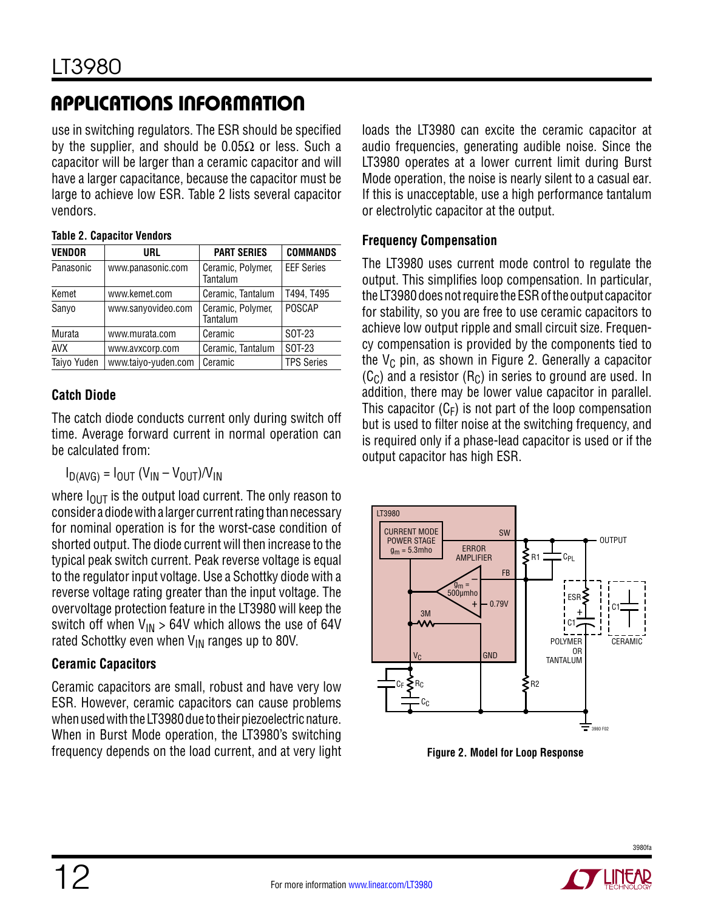use in switching regulators. The ESR should be specified by the supplier, and should be  $0.05\Omega$  or less. Such a capacitor will be larger than a ceramic capacitor and will have a larger capacitance, because the capacitor must be large to achieve low ESR. Table 2 lists several capacitor vendors.

| <b>VENDOR</b> | URL                 | <b>PART SERIES</b>            | <b>COMMANDS</b>   |
|---------------|---------------------|-------------------------------|-------------------|
| Panasonic     | www.panasonic.com   | Ceramic, Polymer,<br>Tantalum | <b>EEF Series</b> |
| Kemet         | www.kemet.com       | Ceramic, Tantalum             | T494, T495        |
| Sanyo         | www.sanyovideo.com  | Ceramic, Polymer,<br>Tantalum | POSCAP            |
| Murata        | www.murata.com      | Ceramic                       | SOT-23            |
| <b>AVX</b>    | www.avxcorp.com     | Ceramic, Tantalum             | SOT-23            |
| Taiyo Yuden   | www.taiyo-yuden.com | Ceramic                       | <b>TPS Series</b> |

#### **Table 2. Capacitor Vendors**

### **Catch Diode**

The catch diode conducts current only during switch off time. Average forward current in normal operation can be calculated from:

$$
I_{D(AVG)} = I_{OUT} (V_{IN} - V_{OUT})/V_{IN}
$$

where  $I_{\text{OUT}}$  is the output load current. The only reason to consider a diode with a larger current rating than necessary for nominal operation is for the worst-case condition of shorted output. The diode current will then increase to the typical peak switch current. Peak reverse voltage is equal to the regulator input voltage. Use a Schottky diode with a reverse voltage rating greater than the input voltage. The overvoltage protection feature in the LT3980 will keep the switch off when  $V_{IN} > 64V$  which allows the use of 64V rated Schottky even when  $V_{IN}$  ranges up to 80V.

### **Ceramic Capacitors**

Ceramic capacitors are small, robust and have very low ESR. However, ceramic capacitors can cause problems when used with the LT3980 due to their piezoelectric nature. When in Burst Mode operation, the LT3980's switching frequency depends on the load current, and at very light loads the LT3980 can excite the ceramic capacitor at audio frequencies, generating audible noise. Since the LT3980 operates at a lower current limit during Burst Mode operation, the noise is nearly silent to a casual ear. If this is unacceptable, use a high performance tantalum or electrolytic capacitor at the output.

#### **Frequency Compensation**

The LT3980 uses current mode control to regulate the output. This simplifies loop compensation. In particular, the LT3980 does not require the ESR of the output capacitor for stability, so you are free to use ceramic capacitors to achieve low output ripple and small circuit size. Frequency compensation is provided by the components tied to the  $V_C$  pin, as shown in Figure 2. Generally a capacitor  $(C_C)$  and a resistor  $(R_C)$  in series to ground are used. In addition, there may be lower value capacitor in parallel. This capacitor  $(C_F)$  is not part of the loop compensation but is used to filter noise at the switching frequency, and is required only if a phase-lead capacitor is used or if the output capacitor has high ESR.



**Figure 2. Model for Loop Response**

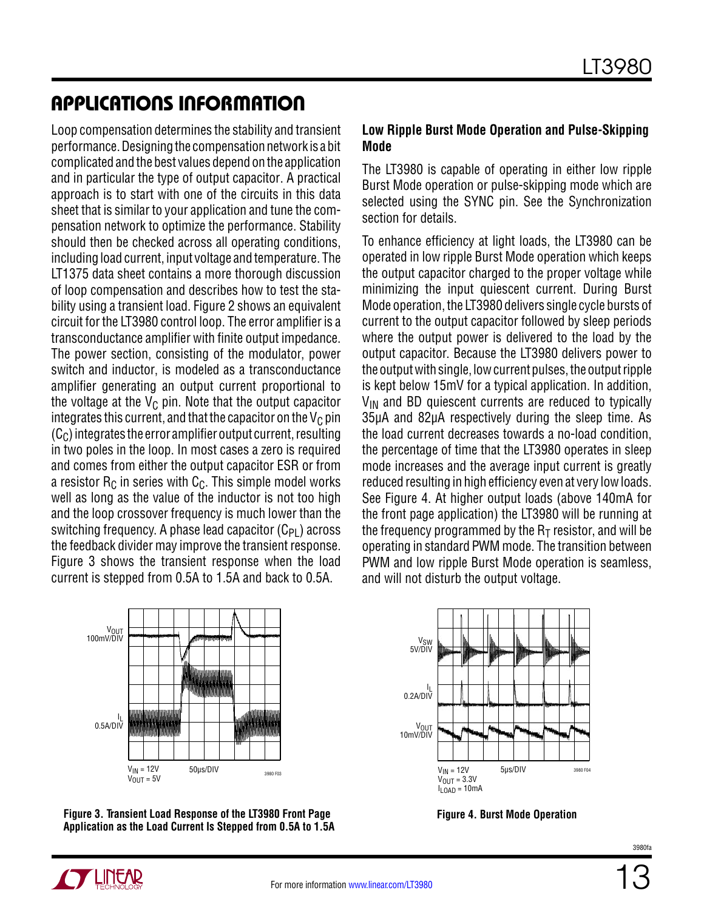Loop compensation determines the stability and transient performance. Designing the compensation network is a bit complicated and the best values depend on the application and in particular the type of output capacitor. A practical approach is to start with one of the circuits in this data sheet that is similar to your application and tune the compensation network to optimize the performance. Stability should then be checked across all operating conditions, including load current, input voltage and temperature. The LT1375 data sheet contains a more thorough discussion of loop compensation and describes how to test the stability using a transient load. Figure 2 shows an equivalent circuit for the LT3980 control loop. The error amplifier is a transconductance amplifier with finite output impedance. The power section, consisting of the modulator, power switch and inductor, is modeled as a transconductance amplifier generating an output current proportional to the voltage at the  $V_C$  pin. Note that the output capacitor integrates this current, and that the capacitor on the  $V_C$  pin  $(C<sub>C</sub>)$  integrates the error amplifier output current, resulting in two poles in the loop. In most cases a zero is required and comes from either the output capacitor ESR or from a resistor  $R<sub>C</sub>$  in series with  $C<sub>C</sub>$ . This simple model works well as long as the value of the inductor is not too high and the loop crossover frequency is much lower than the switching frequency. A phase lead capacitor  $(C_{PI})$  across the feedback divider may improve the transient response. Figure 3 shows the transient response when the load current is stepped from 0.5A to 1.5A and back to 0.5A.

#### **Low Ripple Burst Mode Operation and Pulse-Skipping Mode**

The LT3980 is capable of operating in either low ripple Burst Mode operation or pulse-skipping mode which are selected using the SYNC pin. See the Synchronization section for details.

To enhance efficiency at light loads, the LT3980 can be operated in low ripple Burst Mode operation which keeps the output capacitor charged to the proper voltage while minimizing the input quiescent current. During Burst Mode operation, the LT3980 delivers single cycle bursts of current to the output capacitor followed by sleep periods where the output power is delivered to the load by the output capacitor. Because the LT3980 delivers power to the output with single, low current pulses, the output ripple is kept below 15mV for a typical application. In addition,  $V_{IN}$  and BD quiescent currents are reduced to typically 35µA and 82µA respectively during the sleep time. As the load current decreases towards a no-load condition, the percentage of time that the LT3980 operates in sleep mode increases and the average input current is greatly reduced resulting in high efficiency even at very low loads. See Figure 4. At higher output loads (above 140mA for the front page application) the LT3980 will be running at the frequency programmed by the  $R<sub>T</sub>$  resistor, and will be operating in standard PWM mode. The transition between PWM and low ripple Burst Mode operation is seamless, and will not disturb the output voltage.







**Figure 4. Burst Mode Operation**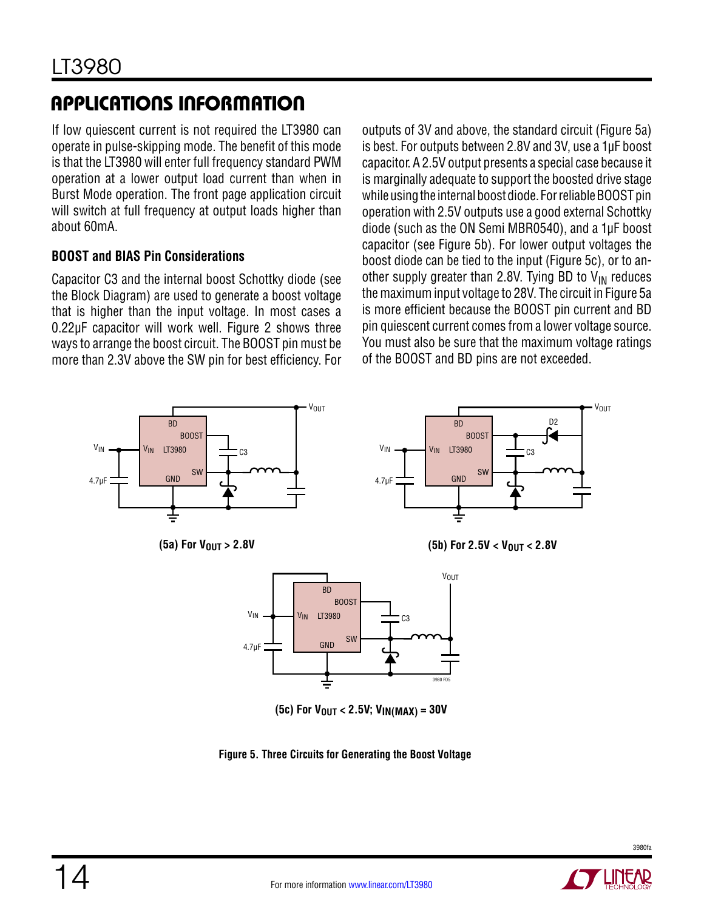If low quiescent current is not required the LT3980 can operate in pulse-skipping mode. The benefit of this mode is that the LT3980 will enter full frequency standard PWM operation at a lower output load current than when in Burst Mode operation. The front page application circuit will switch at full frequency at output loads higher than about 60mA.

### **BOOST and BIAS Pin Considerations**

Capacitor C3 and the internal boost Schottky diode (see the Block Diagram) are used to generate a boost voltage that is higher than the input voltage. In most cases a 0.22µF capacitor will work well. Figure 2 shows three ways to arrange the boost circuit. The BOOST pin must be more than 2.3V above the SW pin for best efficiency. For

outputs of 3V and above, the standard circuit (Figure 5a) is best. For outputs between 2.8V and 3V, use a 1µF boost capacitor. A 2.5V output presents a special case because it is marginally adequate to support the boosted drive stage while using the internal boost diode. For reliable BOOST pin operation with 2.5V outputs use a good external Schottky diode (such as the ON Semi MBR0540), and a 1µF boost capacitor (see Figure 5b). For lower output voltages the boost diode can be tied to the input (Figure 5c), or to another supply greater than 2.8V. Tying BD to  $V_{IN}$  reduces the maximum input voltage to 28V. The circuit in Figure 5a is more efficient because the BOOST pin current and BD pin quiescent current comes from a lower voltage source. You must also be sure that the maximum voltage ratings of the BOOST and BD pins are not exceeded.



**Figure 5. Three Circuits for Generating the Boost Voltage**

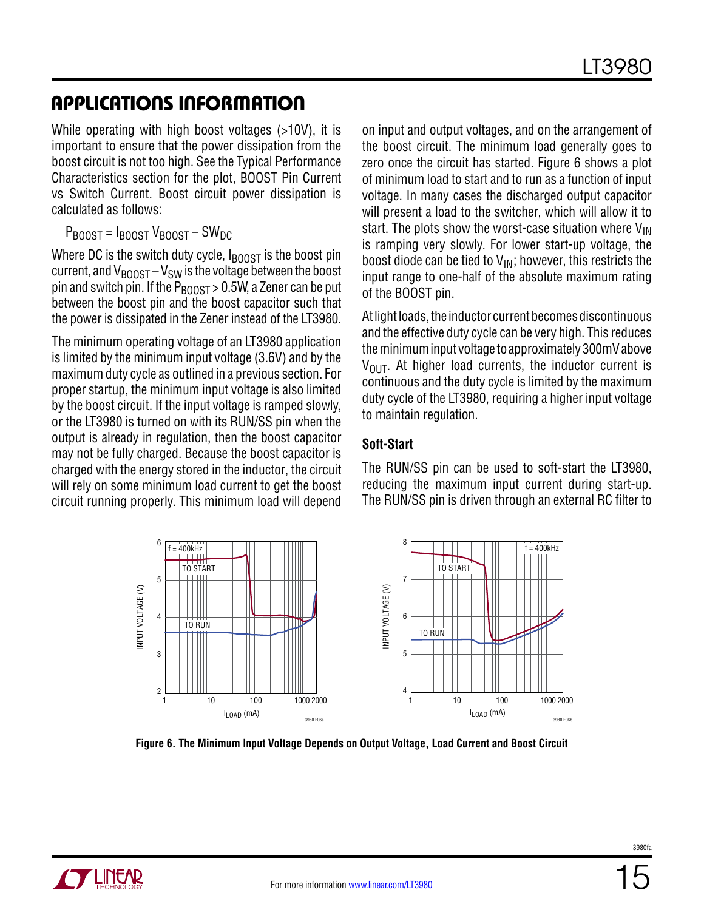While operating with high boost voltages (>10V), it is important to ensure that the power dissipation from the boost circuit is not too high. See the Typical Performance Characteristics section for the plot, BOOST Pin Current vs Switch Current. Boost circuit power dissipation is calculated as follows:

 $P_{\text{ROOST}} = I_{\text{ROOST}} V_{\text{ROOST}} - SW_{\text{DC}}$ 

Where DC is the switch duty cycle,  $I_{\text{BOOST}}$  is the boost pin current, and  $V_{\text{BOOST}} - V_{\text{SW}}$  is the voltage between the boost pin and switch pin. If the  $P_{\text{BOOST}} > 0.5W$ , a Zener can be put between the boost pin and the boost capacitor such that the power is dissipated in the Zener instead of the LT3980.

The minimum operating voltage of an LT3980 application is limited by the minimum input voltage (3.6V) and by the maximum duty cycle as outlined in a previous section. For proper startup, the minimum input voltage is also limited by the boost circuit. If the input voltage is ramped slowly, or the LT3980 is turned on with its RUN/SS pin when the output is already in regulation, then the boost capacitor may not be fully charged. Because the boost capacitor is charged with the energy stored in the inductor, the circuit will rely on some minimum load current to get the boost circuit running properly. This minimum load will depend

on input and output voltages, and on the arrangement of the boost circuit. The minimum load generally goes to zero once the circuit has started. Figure 6 shows a plot of minimum load to start and to run as a function of input voltage. In many cases the discharged output capacitor will present a load to the switcher, which will allow it to start. The plots show the worst-case situation where  $V_{\text{IN}}$ is ramping very slowly. For lower start-up voltage, the boost diode can be tied to  $V_{IN}$ ; however, this restricts the input range to one-half of the absolute maximum rating of the BOOST pin.

At light loads, the inductor current becomes discontinuous and the effective duty cycle can be very high. This reduces the minimum input voltage to approximately 300mV above  $V_{\text{OUT}}$ . At higher load currents, the inductor current is continuous and the duty cycle is limited by the maximum duty cycle of the LT3980, requiring a higher input voltage to maintain regulation.

#### **Soft-Start**

The RUN/SS pin can be used to soft-start the LT3980, reducing the maximum input current during start-up. The RUN/SS pin is driven through an external RC filter to



**Figure 6. The Minimum Input Voltage Depends on Output Voltage, Load Current and Boost Circuit**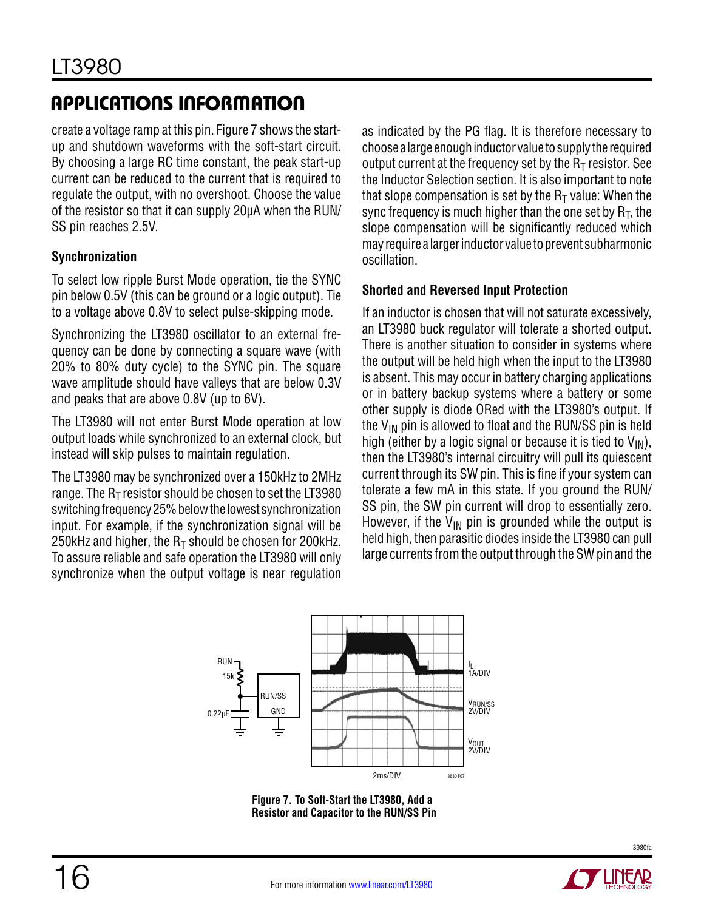create a voltage ramp at this pin. Figure 7 shows the startup and shutdown waveforms with the soft-start circuit. By choosing a large RC time constant, the peak start-up current can be reduced to the current that is required to regulate the output, with no overshoot. Choose the value of the resistor so that it can supply 20µA when the RUN/ SS pin reaches 2.5V.

### **Synchronization**

To select low ripple Burst Mode operation, tie the SYNC pin below 0.5V (this can be ground or a logic output). Tie to a voltage above 0.8V to select pulse-skipping mode.

Synchronizing the LT3980 oscillator to an external frequency can be done by connecting a square wave (with 20% to 80% duty cycle) to the SYNC pin. The square wave amplitude should have valleys that are below 0.3V and peaks that are above 0.8V (up to 6V).

The LT3980 will not enter Burst Mode operation at low output loads while synchronized to an external clock, but instead will skip pulses to maintain regulation.

The LT3980 may be synchronized over a 150kHz to 2MHz range. The  $R<sub>T</sub>$  resistor should be chosen to set the LT3980 switching frequency 25% below the lowest synchronization input. For example, if the synchronization signal will be 250kHz and higher, the  $R<sub>T</sub>$  should be chosen for 200kHz. To assure reliable and safe operation the LT3980 will only synchronize when the output voltage is near regulation as indicated by the PG flag. It is therefore necessary to choose a large enough inductor value to supply the required output current at the frequency set by the  $R<sub>T</sub>$  resistor. See the Inductor Selection section. It is also important to note that slope compensation is set by the  $R<sub>T</sub>$  value: When the sync frequency is much higher than the one set by  $R_T$ , the slope compensation will be significantly reduced which may require a larger inductor value to prevent subharmonic oscillation.

### **Shorted and Reversed Input Protection**

If an inductor is chosen that will not saturate excessively, an LT3980 buck regulator will tolerate a shorted output. There is another situation to consider in systems where the output will be held high when the input to the LT3980 is absent. This may occur in battery charging applications or in battery backup systems where a battery or some other supply is diode ORed with the LT3980's output. If the  $V_{IN}$  pin is allowed to float and the RUN/SS pin is held high (either by a logic signal or because it is tied to  $V_{IN}$ ), then the LT3980's internal circuitry will pull its quiescent current through its SW pin. This is fine if your system can tolerate a few mA in this state. If you ground the RUN/ SS pin, the SW pin current will drop to essentially zero. However, if the  $V_{IN}$  pin is grounded while the output is held high, then parasitic diodes inside the LT3980 can pull large currents from the output through the SW pin and the



**Figure 7. To Soft-Start the LT3980, Add a Resistor and Capacitor to the RUN/SS Pin**

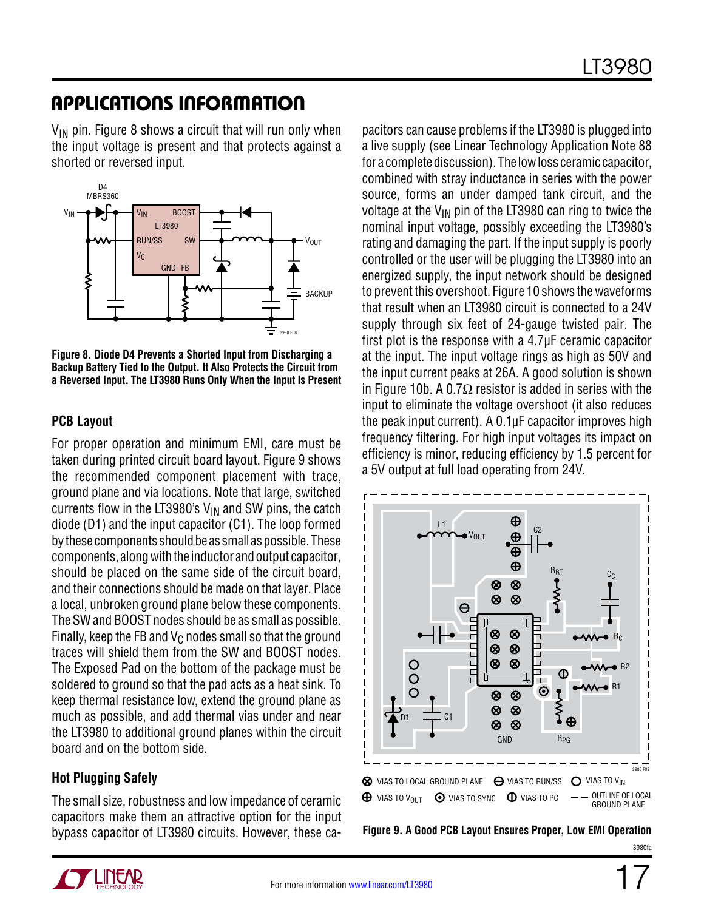$V_{IN}$  pin. Figure 8 shows a circuit that will run only when the input voltage is present and that protects against a shorted or reversed input.



**Figure 8. Diode D4 Prevents a Shorted Input from Discharging a Backup Battery Tied to the Output. It Also Protects the Circuit from a Reversed Input. The LT3980 Runs Only When the Input Is Present**

#### **PCB Layout**

For proper operation and minimum EMI, care must be taken during printed circuit board layout. Figure 9 shows the recommended component placement with trace, ground plane and via locations. Note that large, switched currents flow in the LT3980's  $V_{IN}$  and SW pins, the catch diode (D1) and the input capacitor (C1). The loop formed by these components should be as small as possible. These components, along with the inductor and output capacitor, should be placed on the same side of the circuit board, and their connections should be made on that layer. Place a local, unbroken ground plane below these components. The SW and BOOST nodes should be as small as possible. Finally, keep the FB and  $V_C$  nodes small so that the ground traces will shield them from the SW and BOOST nodes. The Exposed Pad on the bottom of the package must be soldered to ground so that the pad acts as a heat sink. To keep thermal resistance low, extend the ground plane as much as possible, and add thermal vias under and near the LT3980 to additional ground planes within the circuit board and on the bottom side.

### **Hot Plugging Safely**

The small size, robustness and low impedance of ceramic capacitors make them an attractive option for the input bypass capacitor of LT3980 circuits. However, these capacitors can cause problems if the LT3980 is plugged into a live supply (see Linear Technology Application Note 88 for a complete discussion). The low loss ceramic capacitor, combined with stray inductance in series with the power source, forms an under damped tank circuit, and the voltage at the  $V_{IN}$  pin of the LT3980 can ring to twice the nominal input voltage, possibly exceeding the LT3980's rating and damaging the part. If the input supply is poorly controlled or the user will be plugging the LT3980 into an energized supply, the input network should be designed to prevent this overshoot. Figure 10 shows the waveforms that result when an LT3980 circuit is connected to a 24V supply through six feet of 24-gauge twisted pair. The first plot is the response with a 4.7µF ceramic capacitor at the input. The input voltage rings as high as 50V and the input current peaks at 26A. A good solution is shown in Figure 10b. A 0.7 $\Omega$  resistor is added in series with the input to eliminate the voltage overshoot (it also reduces the peak input current). A 0.1µF capacitor improves high frequency filtering. For high input voltages its impact on efficiency is minor, reducing efficiency by 1.5 percent for a 5V output at full load operating from 24V.



**Figure 9. A Good PCB Layout Ensures Proper, Low EMI Operation**

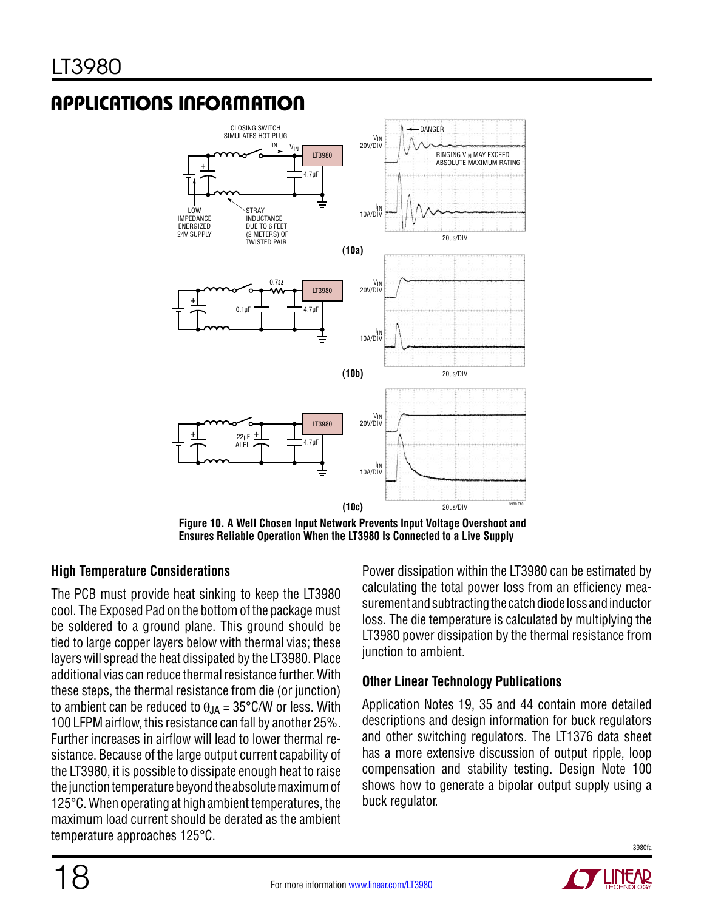

**Figure 10. A Well Chosen Input Network Prevents Input Voltage Overshoot and Ensures Reliable Operation When the LT3980 Is Connected to a Live Supply**

### **High Temperature Considerations**

The PCB must provide heat sinking to keep the LT3980 cool. The Exposed Pad on the bottom of the package must be soldered to a ground plane. This ground should be tied to large copper layers below with thermal vias; these layers will spread the heat dissipated by the LT3980. Place additional vias can reduce thermal resistance further. With these steps, the thermal resistance from die (or junction) to ambient can be reduced to  $\theta_{JA} = 35^{\circ}$ C/W or less. With 100 LFPM airflow, this resistance can fall by another 25%. Further increases in airflow will lead to lower thermal resistance. Because of the large output current capability of the LT3980, it is possible to dissipate enough heat to raise the junction temperature beyond the absolute maximum of 125°C. When operating at high ambient temperatures, the maximum load current should be derated as the ambient temperature approaches 125°C.

Power dissipation within the LT3980 can be estimated by calculating the total power loss from an efficiency measurement and subtracting the catch diode loss and inductor loss. The die temperature is calculated by multiplying the LT3980 power dissipation by the thermal resistance from junction to ambient.

### **Other Linear Technology Publications**

Application Notes 19, 35 and 44 contain more detailed descriptions and design information for buck regulators and other switching regulators. The LT1376 data sheet has a more extensive discussion of output ripple, loop compensation and stability testing. Design Note 100 shows how to generate a bipolar output supply using a buck regulator.

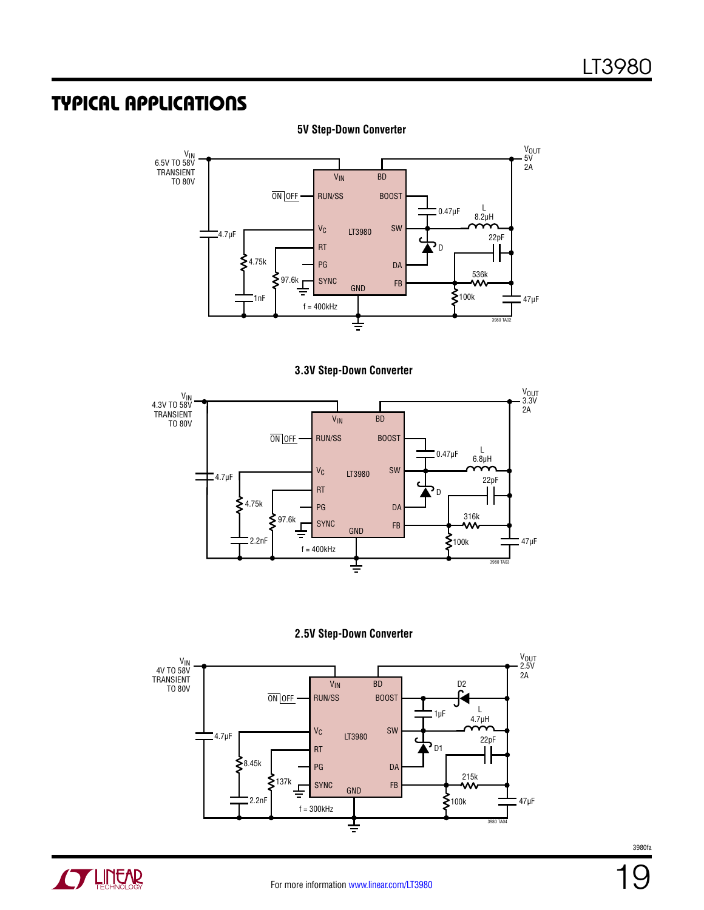### Typical Applications



**5V Step-Down Converter**









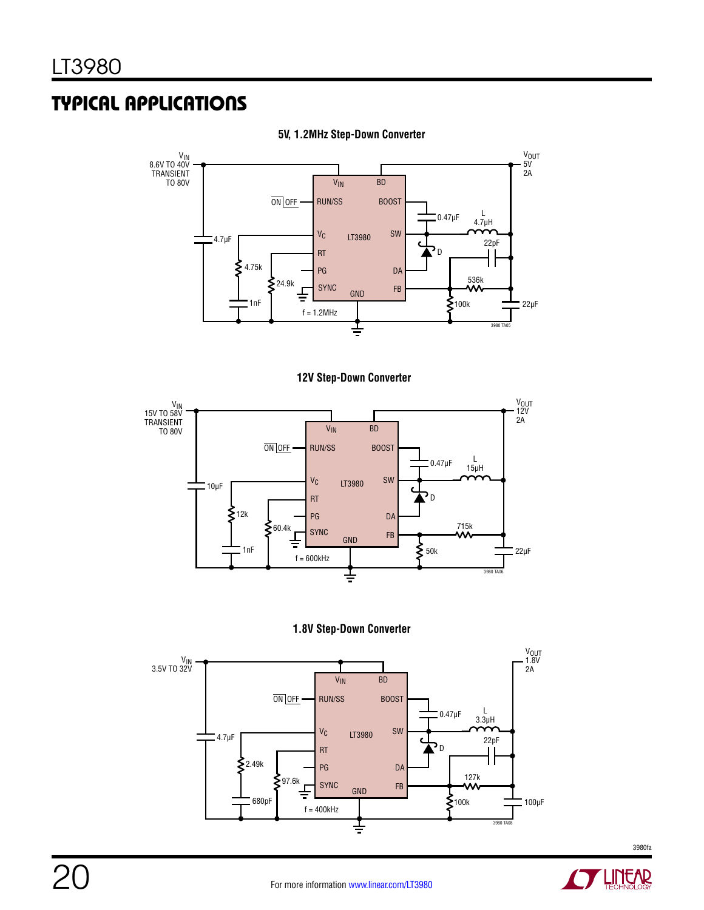### Typical Applications



#### **5V, 1.2MHz Step-Down Converter**









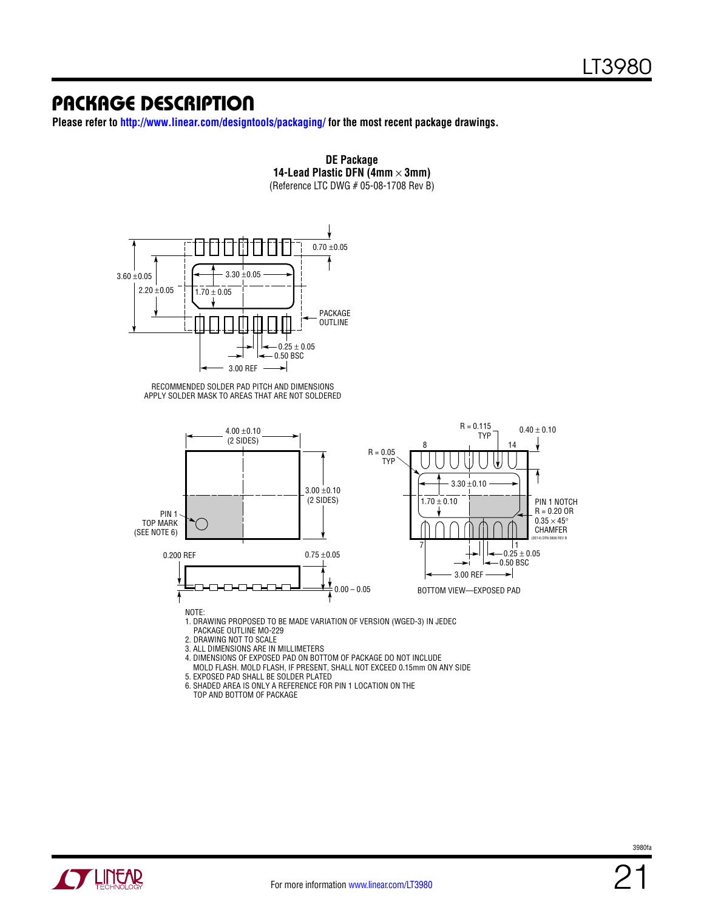### Package Description

**Please refer to http://www.linear.com/designtools/packaging/ for the most recent package drawings.**



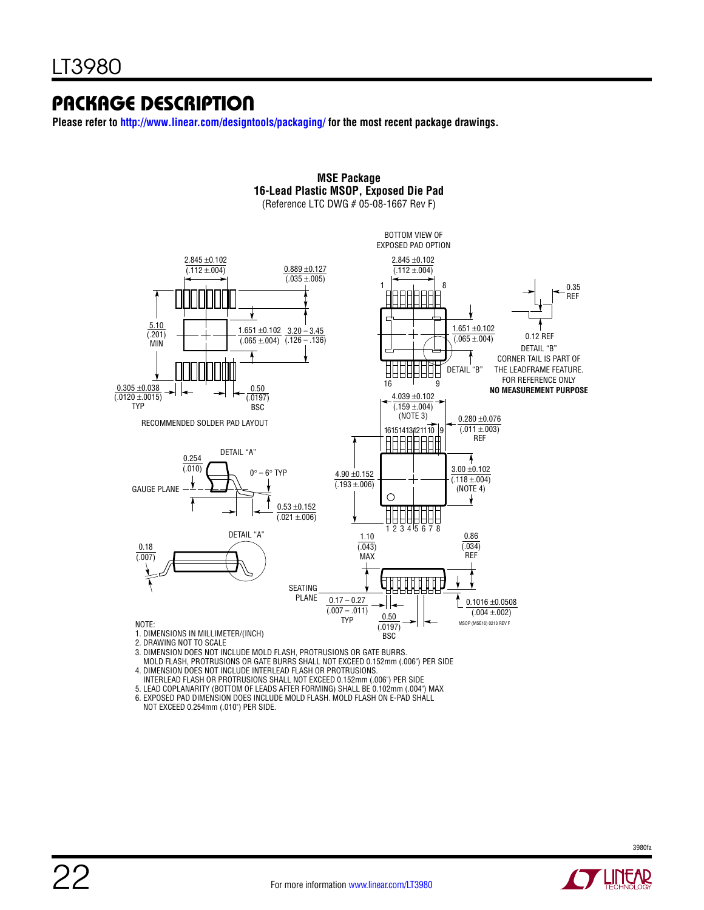### Package Description

**Please refer to http://www.linear.com/designtools/packaging/ for the most recent package drawings.**



**MSE Package**

 MOLD FLASH, PROTRUSIONS OR GATE BURRS SHALL NOT EXCEED 0.152mm (.006") PER SIDE 4. DIMENSION DOES NOT INCLUDE INTERLEAD FLASH OR PROTRUSIONS.

- INTERLEAD FLASH OR PROTRUSIONS SHALL NOT EXCEED 0.152mm (.006") PER SIDE
- 5. LEAD COPLANARITY (BOTTOM OF LEADS AFTER FORMING) SHALL BE 0.102mm (.004") MAX
- 6. EXPOSED PAD DIMENSION DOES INCLUDE MOLD FLASH. MOLD FLASH ON E-PAD SHALL

NOT EXCEED 0.254mm (.010") PER SIDE.

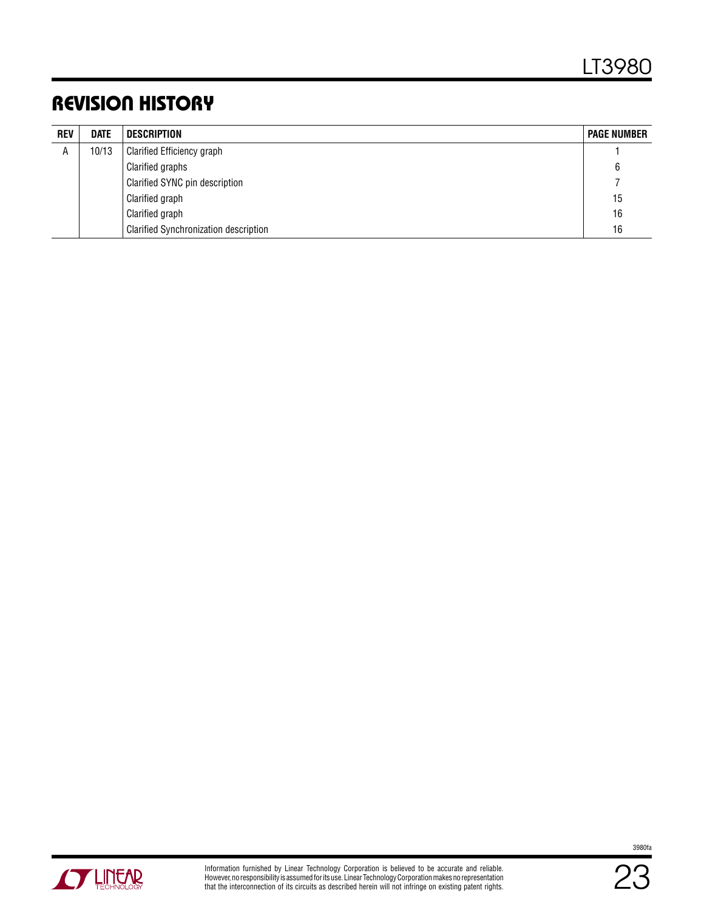## Revision History

| <b>REV</b> | <b>DATE</b> | <b>DESCRIPTION</b>                           | <b>PAGE NUMBER</b> |
|------------|-------------|----------------------------------------------|--------------------|
| A          | 10/13       | <b>Clarified Efficiency graph</b>            |                    |
|            |             | Clarified graphs                             | 6                  |
|            |             | Clarified SYNC pin description               |                    |
|            |             | Clarified graph                              | 15                 |
|            |             | Clarified graph                              | 16                 |
|            |             | <b>Clarified Synchronization description</b> | 16                 |